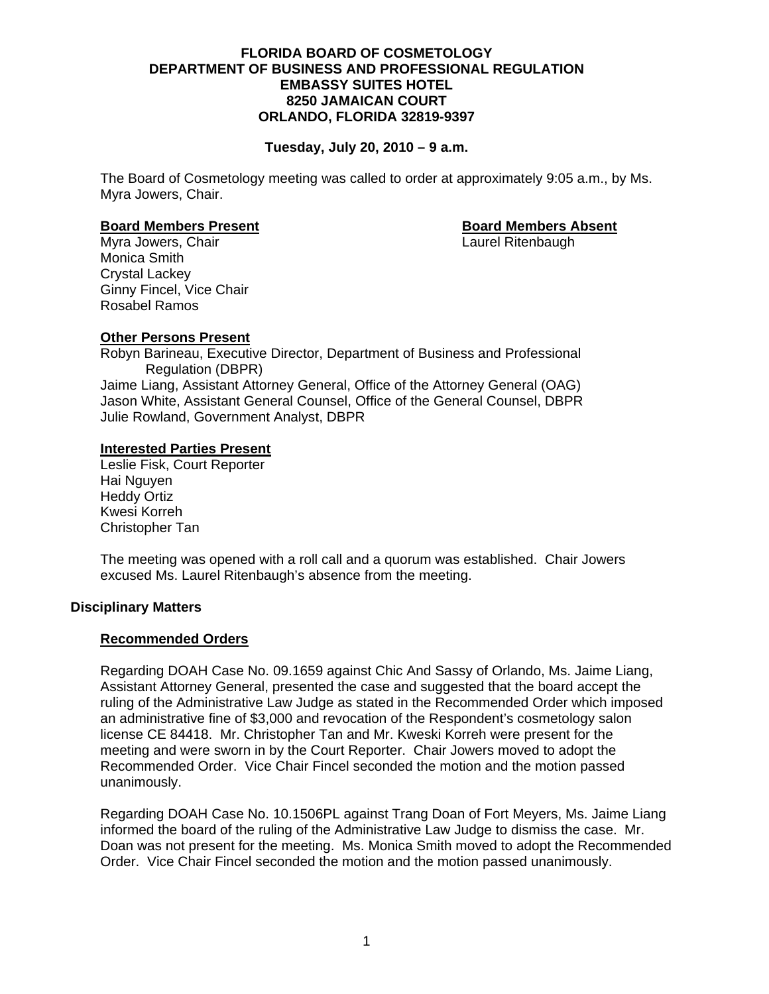## **FLORIDA BOARD OF COSMETOLOGY DEPARTMENT OF BUSINESS AND PROFESSIONAL REGULATION EMBASSY SUITES HOTEL 8250 JAMAICAN COURT ORLANDO, FLORIDA 32819-9397**

## **Tuesday, July 20, 2010 – 9 a.m.**

The Board of Cosmetology meeting was called to order at approximately 9:05 a.m., by Ms. Myra Jowers, Chair.

#### **Board Members Present Communist Communist Property Research Board Members Absent**

Myra Jowers, Chair **Laurel Ritenbaugh Chair** Laurel Ritenbaugh Monica Smith Crystal Lackey Ginny Fincel, Vice Chair Rosabel Ramos

# **Other Persons Present**

Robyn Barineau, Executive Director, Department of Business and Professional Regulation (DBPR) Jaime Liang, Assistant Attorney General, Office of the Attorney General (OAG) Jason White, Assistant General Counsel, Office of the General Counsel, DBPR Julie Rowland, Government Analyst, DBPR

## **Interested Parties Present**

Leslie Fisk, Court Reporter Hai Nguyen Heddy Ortiz Kwesi Korreh Christopher Tan

The meeting was opened with a roll call and a quorum was established. Chair Jowers excused Ms. Laurel Ritenbaugh's absence from the meeting.

## **Disciplinary Matters**

### **Recommended Orders**

Regarding DOAH Case No. 09.1659 against Chic And Sassy of Orlando, Ms. Jaime Liang, Assistant Attorney General, presented the case and suggested that the board accept the ruling of the Administrative Law Judge as stated in the Recommended Order which imposed an administrative fine of \$3,000 and revocation of the Respondent's cosmetology salon license CE 84418. Mr. Christopher Tan and Mr. Kweski Korreh were present for the meeting and were sworn in by the Court Reporter. Chair Jowers moved to adopt the Recommended Order. Vice Chair Fincel seconded the motion and the motion passed unanimously.

 Regarding DOAH Case No. 10.1506PL against Trang Doan of Fort Meyers, Ms. Jaime Liang informed the board of the ruling of the Administrative Law Judge to dismiss the case. Mr. Doan was not present for the meeting. Ms. Monica Smith moved to adopt the Recommended Order. Vice Chair Fincel seconded the motion and the motion passed unanimously.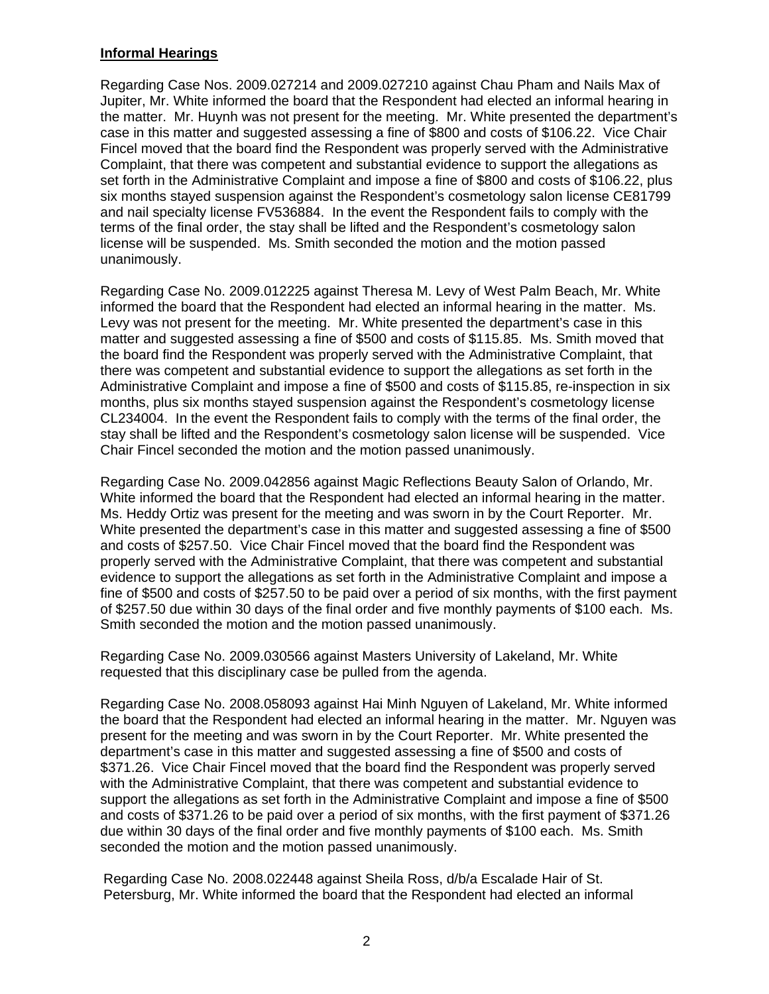## **Informal Hearings**

Regarding Case Nos. 2009.027214 and 2009.027210 against Chau Pham and Nails Max of Jupiter, Mr. White informed the board that the Respondent had elected an informal hearing in the matter. Mr. Huynh was not present for the meeting. Mr. White presented the department's case in this matter and suggested assessing a fine of \$800 and costs of \$106.22. Vice Chair Fincel moved that the board find the Respondent was properly served with the Administrative Complaint, that there was competent and substantial evidence to support the allegations as set forth in the Administrative Complaint and impose a fine of \$800 and costs of \$106.22, plus six months stayed suspension against the Respondent's cosmetology salon license CE81799 and nail specialty license FV536884. In the event the Respondent fails to comply with the terms of the final order, the stay shall be lifted and the Respondent's cosmetology salon license will be suspended. Ms. Smith seconded the motion and the motion passed unanimously.

Regarding Case No. 2009.012225 against Theresa M. Levy of West Palm Beach, Mr. White informed the board that the Respondent had elected an informal hearing in the matter. Ms. Levy was not present for the meeting. Mr. White presented the department's case in this matter and suggested assessing a fine of \$500 and costs of \$115.85. Ms. Smith moved that the board find the Respondent was properly served with the Administrative Complaint, that there was competent and substantial evidence to support the allegations as set forth in the Administrative Complaint and impose a fine of \$500 and costs of \$115.85, re-inspection in six months, plus six months stayed suspension against the Respondent's cosmetology license CL234004. In the event the Respondent fails to comply with the terms of the final order, the stay shall be lifted and the Respondent's cosmetology salon license will be suspended. Vice Chair Fincel seconded the motion and the motion passed unanimously.

Regarding Case No. 2009.042856 against Magic Reflections Beauty Salon of Orlando, Mr. White informed the board that the Respondent had elected an informal hearing in the matter. Ms. Heddy Ortiz was present for the meeting and was sworn in by the Court Reporter. Mr. White presented the department's case in this matter and suggested assessing a fine of \$500 and costs of \$257.50. Vice Chair Fincel moved that the board find the Respondent was properly served with the Administrative Complaint, that there was competent and substantial evidence to support the allegations as set forth in the Administrative Complaint and impose a fine of \$500 and costs of \$257.50 to be paid over a period of six months, with the first payment of \$257.50 due within 30 days of the final order and five monthly payments of \$100 each. Ms. Smith seconded the motion and the motion passed unanimously.

Regarding Case No. 2009.030566 against Masters University of Lakeland, Mr. White requested that this disciplinary case be pulled from the agenda.

Regarding Case No. 2008.058093 against Hai Minh Nguyen of Lakeland, Mr. White informed the board that the Respondent had elected an informal hearing in the matter. Mr. Nguyen was present for the meeting and was sworn in by the Court Reporter. Mr. White presented the department's case in this matter and suggested assessing a fine of \$500 and costs of \$371.26. Vice Chair Fincel moved that the board find the Respondent was properly served with the Administrative Complaint, that there was competent and substantial evidence to support the allegations as set forth in the Administrative Complaint and impose a fine of \$500 and costs of \$371.26 to be paid over a period of six months, with the first payment of \$371.26 due within 30 days of the final order and five monthly payments of \$100 each. Ms. Smith seconded the motion and the motion passed unanimously.

Regarding Case No. 2008.022448 against Sheila Ross, d/b/a Escalade Hair of St. Petersburg, Mr. White informed the board that the Respondent had elected an informal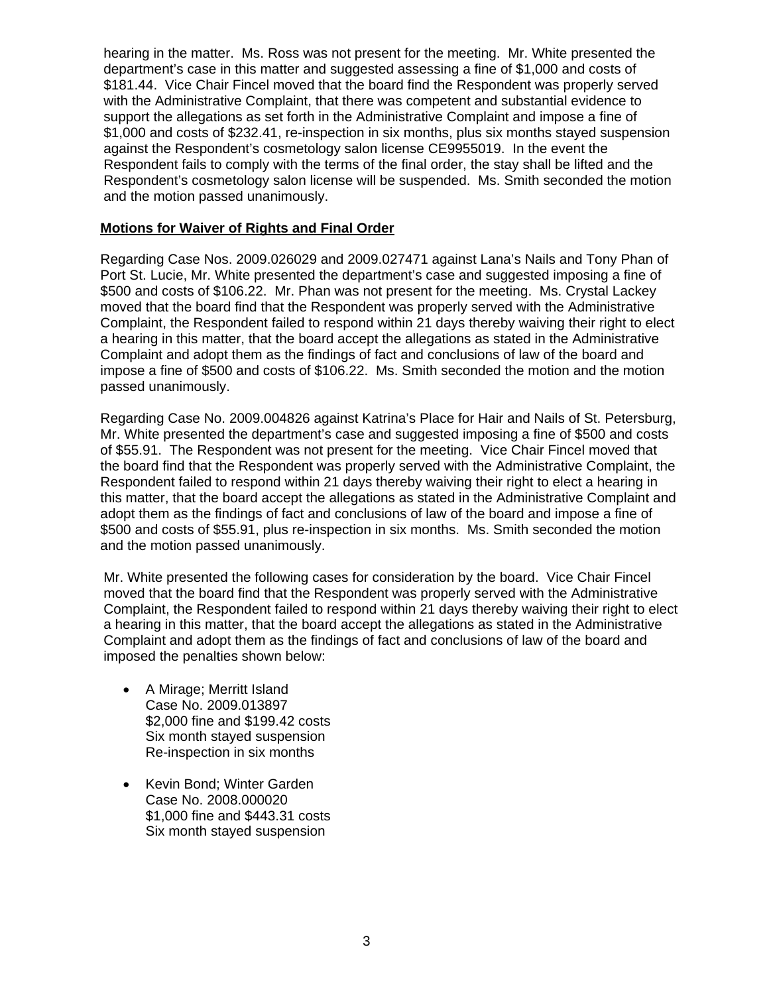hearing in the matter. Ms. Ross was not present for the meeting. Mr. White presented the department's case in this matter and suggested assessing a fine of \$1,000 and costs of \$181.44. Vice Chair Fincel moved that the board find the Respondent was properly served with the Administrative Complaint, that there was competent and substantial evidence to support the allegations as set forth in the Administrative Complaint and impose a fine of \$1,000 and costs of \$232.41, re-inspection in six months, plus six months stayed suspension against the Respondent's cosmetology salon license CE9955019. In the event the Respondent fails to comply with the terms of the final order, the stay shall be lifted and the Respondent's cosmetology salon license will be suspended. Ms. Smith seconded the motion and the motion passed unanimously.

# **Motions for Waiver of Rights and Final Order**

Regarding Case Nos. 2009.026029 and 2009.027471 against Lana's Nails and Tony Phan of Port St. Lucie, Mr. White presented the department's case and suggested imposing a fine of \$500 and costs of \$106.22. Mr. Phan was not present for the meeting. Ms. Crystal Lackey moved that the board find that the Respondent was properly served with the Administrative Complaint, the Respondent failed to respond within 21 days thereby waiving their right to elect a hearing in this matter, that the board accept the allegations as stated in the Administrative Complaint and adopt them as the findings of fact and conclusions of law of the board and impose a fine of \$500 and costs of \$106.22. Ms. Smith seconded the motion and the motion passed unanimously.

Regarding Case No. 2009.004826 against Katrina's Place for Hair and Nails of St. Petersburg, Mr. White presented the department's case and suggested imposing a fine of \$500 and costs of \$55.91. The Respondent was not present for the meeting. Vice Chair Fincel moved that the board find that the Respondent was properly served with the Administrative Complaint, the Respondent failed to respond within 21 days thereby waiving their right to elect a hearing in this matter, that the board accept the allegations as stated in the Administrative Complaint and adopt them as the findings of fact and conclusions of law of the board and impose a fine of \$500 and costs of \$55.91, plus re-inspection in six months. Ms. Smith seconded the motion and the motion passed unanimously.

Mr. White presented the following cases for consideration by the board. Vice Chair Fincel moved that the board find that the Respondent was properly served with the Administrative Complaint, the Respondent failed to respond within 21 days thereby waiving their right to elect a hearing in this matter, that the board accept the allegations as stated in the Administrative Complaint and adopt them as the findings of fact and conclusions of law of the board and imposed the penalties shown below:

- A Mirage; Merritt Island Case No. 2009.013897 \$2,000 fine and \$199.42 costs Six month stayed suspension Re-inspection in six months
- Kevin Bond; Winter Garden Case No. 2008.000020 \$1,000 fine and \$443.31 costs Six month stayed suspension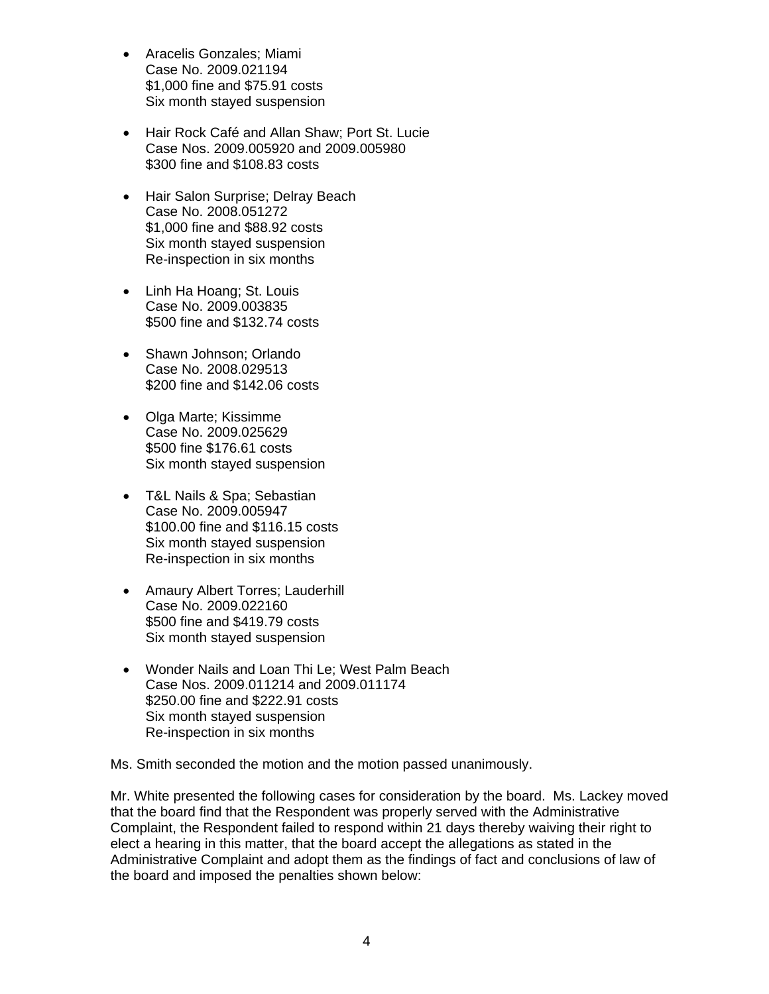- Aracelis Gonzales; Miami Case No. 2009.021194 \$1,000 fine and \$75.91 costs Six month stayed suspension
- Hair Rock Café and Allan Shaw; Port St. Lucie Case Nos. 2009.005920 and 2009.005980 \$300 fine and \$108.83 costs
- Hair Salon Surprise; Delray Beach Case No. 2008.051272 \$1,000 fine and \$88.92 costs Six month stayed suspension Re-inspection in six months
- Linh Ha Hoang; St. Louis Case No. 2009.003835 \$500 fine and \$132.74 costs
- Shawn Johnson; Orlando Case No. 2008.029513 \$200 fine and \$142.06 costs
- Olga Marte; Kissimme Case No. 2009.025629 \$500 fine \$176.61 costs Six month stayed suspension
- T&L Nails & Spa; Sebastian Case No. 2009.005947 \$100.00 fine and \$116.15 costs Six month stayed suspension Re-inspection in six months
- Amaury Albert Torres; Lauderhill Case No. 2009.022160 \$500 fine and \$419.79 costs Six month stayed suspension
- Wonder Nails and Loan Thi Le; West Palm Beach Case Nos. 2009.011214 and 2009.011174 \$250.00 fine and \$222.91 costs Six month stayed suspension Re-inspection in six months

Ms. Smith seconded the motion and the motion passed unanimously.

Mr. White presented the following cases for consideration by the board. Ms. Lackey moved that the board find that the Respondent was properly served with the Administrative Complaint, the Respondent failed to respond within 21 days thereby waiving their right to elect a hearing in this matter, that the board accept the allegations as stated in the Administrative Complaint and adopt them as the findings of fact and conclusions of law of the board and imposed the penalties shown below: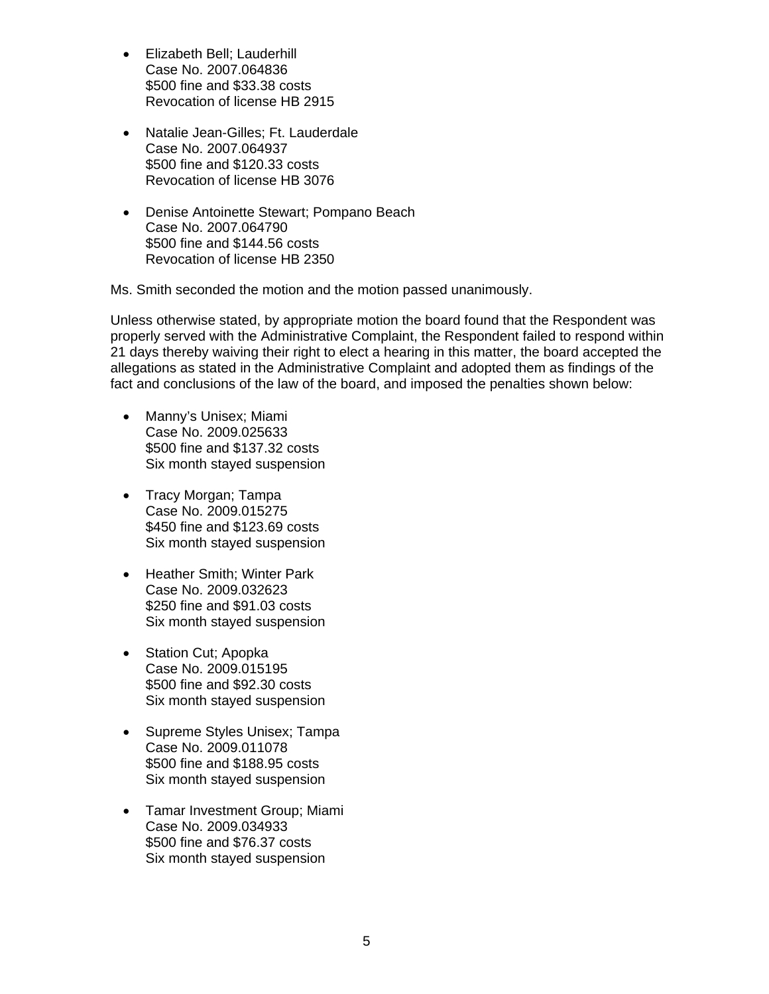- Elizabeth Bell; Lauderhill Case No. 2007.064836 \$500 fine and \$33.38 costs Revocation of license HB 2915
- Natalie Jean-Gilles; Ft. Lauderdale Case No. 2007.064937 \$500 fine and \$120.33 costs Revocation of license HB 3076
- Denise Antoinette Stewart; Pompano Beach Case No. 2007.064790 \$500 fine and \$144.56 costs Revocation of license HB 2350

Ms. Smith seconded the motion and the motion passed unanimously.

Unless otherwise stated, by appropriate motion the board found that the Respondent was properly served with the Administrative Complaint, the Respondent failed to respond within 21 days thereby waiving their right to elect a hearing in this matter, the board accepted the allegations as stated in the Administrative Complaint and adopted them as findings of the fact and conclusions of the law of the board, and imposed the penalties shown below:

- Manny's Unisex; Miami Case No. 2009.025633 \$500 fine and \$137.32 costs Six month stayed suspension
- Tracy Morgan; Tampa Case No. 2009.015275 \$450 fine and \$123.69 costs Six month stayed suspension
- Heather Smith; Winter Park Case No. 2009.032623 \$250 fine and \$91.03 costs Six month stayed suspension
- Station Cut; Apopka Case No. 2009.015195 \$500 fine and \$92.30 costs Six month stayed suspension
- Supreme Styles Unisex; Tampa Case No. 2009.011078 \$500 fine and \$188.95 costs Six month stayed suspension
- Tamar Investment Group; Miami Case No. 2009.034933 \$500 fine and \$76.37 costs Six month stayed suspension